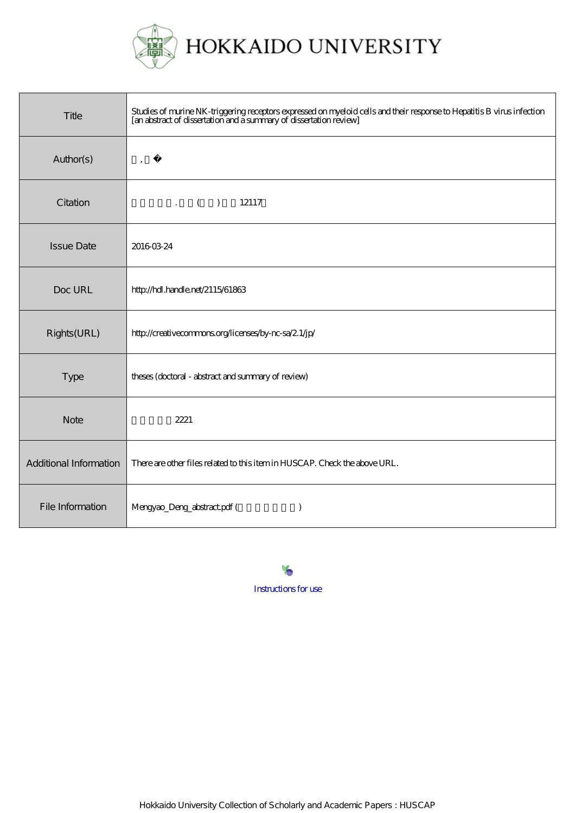

| Title                  | Studies of murine NK-triggering receptors expressed on myeloid cells and their response to Hepatitis B virus infection<br>[an abstract of dissertation and a summary of dissertation review] |
|------------------------|----------------------------------------------------------------------------------------------------------------------------------------------------------------------------------------------|
| Author(s)              | $\,$                                                                                                                                                                                         |
| Citation               | $( )$ 12117                                                                                                                                                                                  |
| <b>Issue Date</b>      | 20160324                                                                                                                                                                                     |
| Doc URL                | http://hdl.handle.net/2115/61863                                                                                                                                                             |
| Rights(URL)            | http://creativecommons.org/licenses/by-nc-sa/2.1/jp/                                                                                                                                         |
| Type                   | theses (doctoral - abstract and summary of review)                                                                                                                                           |
| <b>Note</b>            | 2221                                                                                                                                                                                         |
| Additional Information | There are other files related to this item in HUSCAP. Check the above URL.                                                                                                                   |
| File Information       | Mengyao_Deng_abstract.pdf (<br>$\lambda$                                                                                                                                                     |

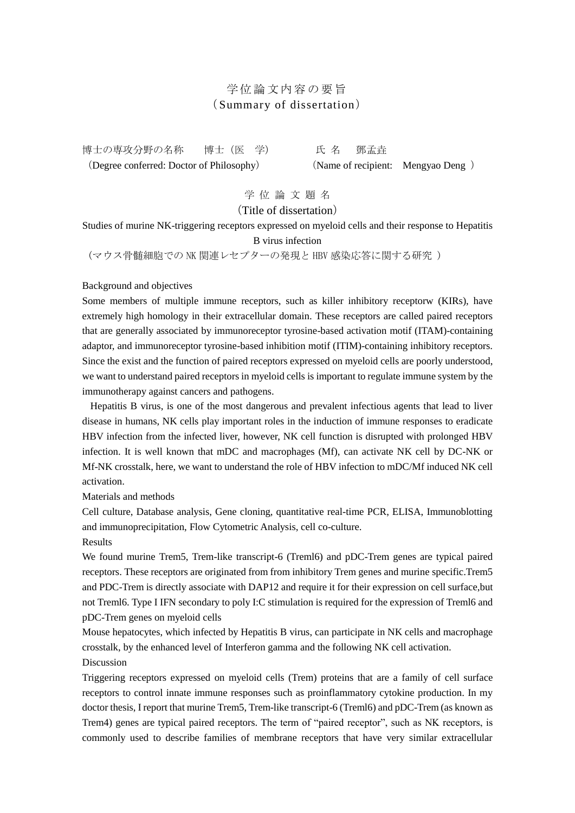## 学位論文内容の要旨 (Summary of dissertation)

博士の専攻分野の名称 博士(医 学) 氏 名 鄧孟垚

(Degree conferred: Doctor of Philosophy) (Name of recipient: Mengyao Deng )

学 位 論 文 題 名

(Title of dissertation)

Studies of murine NK-triggering receptors expressed on myeloid cells and their response to Hepatitis B virus infection

(マウス骨髄細胞での NK 関連レセプターの発現と HBV 感染応答に関する研究 )

Background and objectives

Some members of multiple immune receptors, such as killer inhibitory receptorw (KIRs), have extremely high homology in their extracellular domain. These receptors are called paired receptors that are generally associated by immunoreceptor tyrosine-based activation motif (ITAM)-containing adaptor, and immunoreceptor tyrosine-based inhibition motif (ITIM)-containing inhibitory receptors. Since the exist and the function of paired receptors expressed on myeloid cells are poorly understood, we want to understand paired receptors in myeloid cells is important to regulate immune system by the immunotherapy against cancers and pathogens.

 Hepatitis B virus, is one of the most dangerous and prevalent infectious agents that lead to liver disease in humans, NK cells play important roles in the induction of immune responses to eradicate HBV infection from the infected liver, however, NK cell function is disrupted with prolonged HBV infection. It is well known that mDC and macrophages (Mf), can activate NK cell by DC-NK or Mf-NK crosstalk, here, we want to understand the role of HBV infection to mDC/Mf induced NK cell activation.

Materials and methods

Cell culture, Database analysis, Gene cloning, quantitative real-time PCR, ELISA, Immunoblotting and immunoprecipitation, Flow Cytometric Analysis, cell co-culture.

Results

We found murine Trem5, Trem-like transcript-6 (Treml6) and pDC-Trem genes are typical paired receptors. These receptors are originated from from inhibitory Trem genes and murine specific.Trem5 and PDC-Trem is directly associate with DAP12 and require it for their expression on cell surface,but not Treml6. Type I IFN secondary to poly I:C stimulation is required for the expression of Treml6 and pDC-Trem genes on myeloid cells

Mouse hepatocytes, which infected by Hepatitis B virus, can participate in NK cells and macrophage crosstalk, by the enhanced level of Interferon gamma and the following NK cell activation. Discussion

Triggering receptors expressed on myeloid cells (Trem) proteins that are a family of cell surface receptors to control innate immune responses such as proinflammatory cytokine production. In my doctor thesis, I report that murine Trem5, Trem-like transcript-6 (Treml6) and pDC-Trem (as known as Trem4) genes are typical paired receptors. The term of "paired receptor", such as NK receptors, is commonly used to describe families of membrane receptors that have very similar extracellular